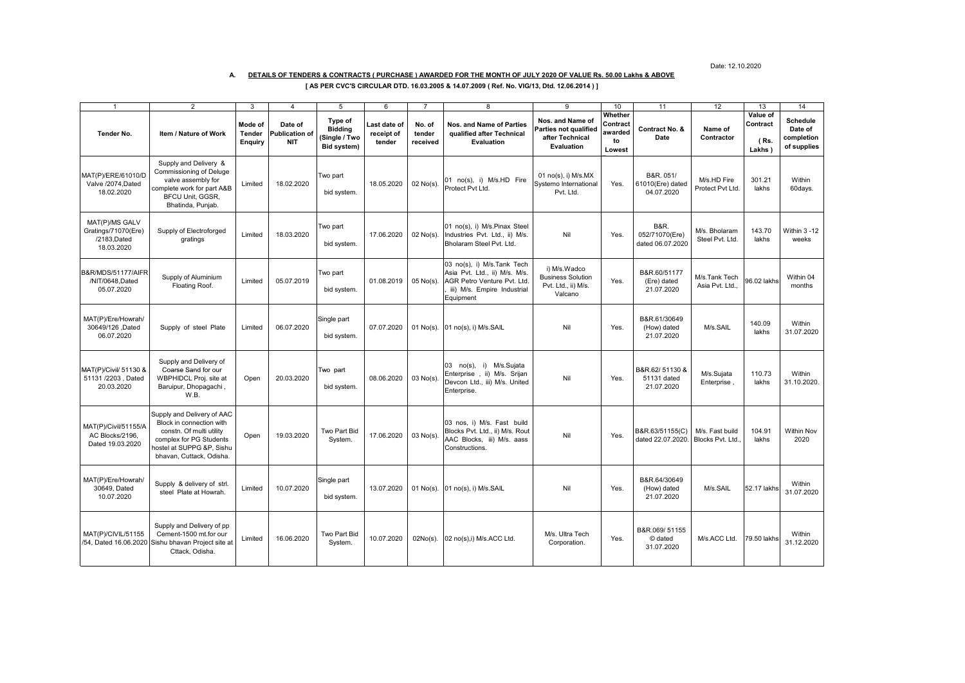Date: 12.10.2020

## **A. DETAILS OF TENDERS & CONTRACTS ( PURCHASE ) AWARDED FOR THE MONTH OF JULY 2020 OF VALUE Rs. 50.00 Lakhs & ABOVE**

|  |  | [ AS PER CVC'S CIRCULAR DTD. 16.03.2005 & 14.07.2009 ( Ref. No. VIG/13, Dtd. 12.06.2014 ) ] |  |
|--|--|---------------------------------------------------------------------------------------------|--|
|--|--|---------------------------------------------------------------------------------------------|--|

|                                                                    | $\overline{2}$                                                                                                                                                         | 3                            | $\overline{4}$                                 | 5                                                         | 6                                    |                              | 8                                                                                                                                      | 9                                                                                 | 10                                             | 11                                                    | 12                                  | 13                                     | 14                                                      |
|--------------------------------------------------------------------|------------------------------------------------------------------------------------------------------------------------------------------------------------------------|------------------------------|------------------------------------------------|-----------------------------------------------------------|--------------------------------------|------------------------------|----------------------------------------------------------------------------------------------------------------------------------------|-----------------------------------------------------------------------------------|------------------------------------------------|-------------------------------------------------------|-------------------------------------|----------------------------------------|---------------------------------------------------------|
| Tender No.                                                         | Item / Nature of Work                                                                                                                                                  | Mode of<br>Tender<br>Enquiry | Date of<br><b>Publication of</b><br><b>NIT</b> | Type of<br><b>Bidding</b><br>(Single / Two<br>Bid system) | Last date of<br>receipt of<br>tender | No. of<br>tender<br>received | <b>Nos. and Name of Parties</b><br>qualified after Technical<br>Evaluation                                                             | Nos. and Name of<br><b>Parties not qualified</b><br>after Technical<br>Evaluation | Whether<br>Contract<br>awarded<br>to<br>Lowest | Contract No. &<br>Date                                | Name of<br>Contractor               | Value of<br>Contract<br>(Rs.<br>Lakhs) | <b>Schedule</b><br>Date of<br>completion<br>of supplies |
| MAT(P)/ERE/61010/D<br>Valve /2074.Dated<br>18.02.2020              | Supply and Delivery &<br>Commissioning of Deluge<br>valve assembly for<br>complete work for part A&B<br><b>BFCU Unit, GGSR,</b><br>Bhatinda, Punjab.                   | Limited                      | 18.02.2020                                     | Two part<br>bid system.                                   | 18.05.2020                           | $02$ No(s)                   | 01 no(s), i) M/s.HD Fire<br>Protect Pvt Ltd.                                                                                           | 01 $no(s)$ , i) M/s.MX<br>Systemo International<br>Pvt. Ltd.                      | Yes.                                           | B&R. 051/<br>61010(Ere) dated<br>04.07.2020           | M/s.HD Fire<br>Protect Pvt Ltd.     | 301.21<br>lakhs                        | Within<br>60days.                                       |
| MAT(P)/MS GALV<br>Gratings/71070(Ere)<br>/2183.Dated<br>18.03.2020 | Supply of Electroforged<br>gratings                                                                                                                                    | Limited                      | 18.03.2020                                     | Two part<br>bid system.                                   | 17.06.2020                           | $02$ No(s).                  | 01 no(s), i) M/s.Pinax Steel<br>Industries Pvt. Ltd., ii) M/s.<br>Bholaram Steel Pvt. Ltd.                                             | Nil                                                                               | Yes.                                           | <b>B&amp;R.</b><br>052/71070(Ere)<br>dated 06.07.2020 | M/s. Bholaram<br>Steel Pvt. Ltd.    | 143.70<br>lakhs                        | Within 3-12<br>weeks                                    |
| <b>B&amp;R/MDS/51177/AIFR</b><br>/NIT/0648,Dated<br>05.07.2020     | Supply of Aluminium<br>Floating Roof.                                                                                                                                  | Limited                      | 05.07.2019                                     | Two part<br>bid system.                                   | 01.08.2019                           | $05$ No(s).                  | 03 no(s), i) M/s.Tank Tech<br>Asia Pvt. Ltd., ii) M/s. M/s.<br>AGR Petro Venture Pvt. Ltd.<br>iii) M/s. Empire Industrial<br>Equipment | i) M/s.Wadco<br><b>Business Solution</b><br>Pvt. Ltd., ii) M/s.<br>Valcano        | Yes.                                           | B&R.60/51177<br>(Ere) dated<br>21.07.2020             | M/s.Tank Tech<br>Asia Pvt. Ltd      | 96.02 lakhs                            | Within 04<br>months                                     |
| MAT(P)/Ere/Howrah/<br>30649/126 .Dated<br>06.07.2020               | Supply of steel Plate                                                                                                                                                  | Limited                      | 06.07.2020                                     | Single part<br>bid system.                                | 07.07.2020                           | $01$ No(s).                  | 01 no(s), i) M/s.SAIL                                                                                                                  | Nil                                                                               | Yes.                                           | B&R.61/30649<br>(How) dated<br>21.07.2020             | M/s.SAIL                            | 140.09<br>lakhs                        | Within<br>31.07.2020                                    |
| MAT(P)/Civil/ 51130 &<br>51131 /2203, Dated<br>20.03.2020          | Supply and Delivery of<br>Coarse Sand for our<br>WBPHIDCL Proj. site at<br>Baruipur, Dhopagachi,<br>W.B.                                                               | Open                         | 20.03.2020                                     | Two part<br>bid system.                                   | 08.06.2020                           | $03$ No(s)                   | no(s), i) M/s.Sujata<br>03<br>Enterprise, ii) M/s. Srijan<br>Devcon Ltd., iii) M/s. United<br>Enterprise.                              | Nil                                                                               | Yes.                                           | B&R.62/51130 &<br>51131 dated<br>21.07.2020           | M/s.Suiata<br>Enterprise            | 110.73<br>lakhs                        | Within<br>31.10.2020.                                   |
| MAT(P)/Civil/51155/A<br>AC Blocks/2196,<br>Dated 19.03.2020        | Supply and Delivery of AAC<br>Block in connection with<br>constn. Of multi utility<br>complex for PG Students<br>hostel at SUPPG &P. Sishu<br>bhavan, Cuttack, Odisha, | Open                         | 19.03.2020                                     | Two Part Bid<br>System.                                   | 17.06.2020                           | $03$ No(s)                   | 03 nos, i) M/s. Fast build<br>Blocks Pvt. Ltd., ii) M/s. Rout<br>AAC Blocks, iii) M/s. aass<br>Constructions.                          | Nil                                                                               | Yes.                                           | B&R.63/51155(C)<br>dated 22.07.2020.                  | M/s. Fast build<br>Blocks Pvt. Ltd. | 104.91<br>lakhs                        | <b>Within Nov</b><br>2020                               |
| MAT(P)/Ere/Howrah/<br>30649. Dated<br>10.07.2020                   | Supply & delivery of strl<br>steel Plate at Howrah.                                                                                                                    | Limited                      | 10.07.2020                                     | Single part<br>bid system.                                | 13.07.2020                           | $01$ No(s).                  | 01 no(s), i) M/s.SAIL                                                                                                                  | Nil                                                                               | Yes.                                           | B&R.64/30649<br>(How) dated<br>21.07.2020             | M/s.SAIL                            | 52.17 lakhs                            | Within<br>31.07.2020                                    |
| MAT(P)/CIVIL/51155<br>/54. Dated 16.06.2020                        | Supply and Delivery of pp<br>Cement-1500 mt.for our<br>Sishu bhavan Project site at<br>Cttack, Odisha.                                                                 | Limited                      | 16.06.2020                                     | Two Part Bid<br>System.                                   | 10.07.2020                           | $02No(s)$ .                  | 02 no(s),i) M/s.ACC Ltd.                                                                                                               | M/s. Ultra Tech<br>Corporation.                                                   | Yes.                                           | B&R.069/51155<br>© dated<br>31.07.2020                | M/s.ACC Ltd.                        | 79.50 lakhs                            | Within<br>31.12.2020                                    |